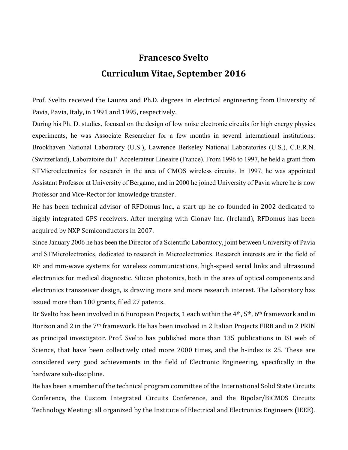## Francesco Svelto Curriculum Vitae, September 2016

Prof. Svelto received the Laurea and Ph.D. degrees in electrical engineering from University of Pavia, Pavia, Italy, in 1991 and 1995, respectively.

During his Ph. D. studies, focused on the design of low noise electronic circuits for high energy physics experiments, he was Associate Researcher for a few months in several international institutions: Brookhaven National Laboratory (U.S.), Lawrence Berkeley National Laboratories (U.S.), C.E.R.N. (Switzerland), Laboratoire du l' Accelerateur Lineaire (France). From 1996 to 1997, he held a grant from STMicroelectronics for research in the area of CMOS wireless circuits. In 1997, he was appointed Assistant Professor at University of Bergamo, and in 2000 he joined University of Pavia where he is now Professor and Vice-Rector for knowledge transfer.

He has been technical advisor of RFDomus Inc., a start-up he co-founded in 2002 dedicated to highly integrated GPS receivers. After merging with Glonav Inc. (Ireland), RFDomus has been acquired by NXP Semiconductors in 2007.

Since January 2006 he has been the Director of a Scientific Laboratory, joint between University of Pavia and STMicrolectronics, dedicated to research in Microelectronics. Research interests are in the field of RF and mm-wave systems for wireless communications, high-speed serial links and ultrasound electronics for medical diagnostic. Silicon photonics, both in the area of optical components and electronics transceiver design, is drawing more and more research interest. The Laboratory has issued more than 100 grants, filed 27 patents.

Dr Svelto has been involved in 6 European Projects, 1 each within the 4<sup>th</sup>, 5<sup>th</sup>, 6<sup>th</sup> framework and in Horizon and 2 in the 7th framework. He has been involved in 2 Italian Projects FIRB and in 2 PRIN as principal investigator. Prof. Svelto has published more than 135 publications in ISI web of Science, that have been collectively cited more 2000 times, and the h-index is 25. These are considered very good achievements in the field of Electronic Engineering, specifically in the hardware sub-discipline.

He has been a member of the technical program committee of the International Solid State Circuits Conference, the Custom Integrated Circuits Conference, and the Bipolar/BiCMOS Circuits Technology Meeting: all organized by the Institute of Electrical and Electronics Engineers (IEEE).